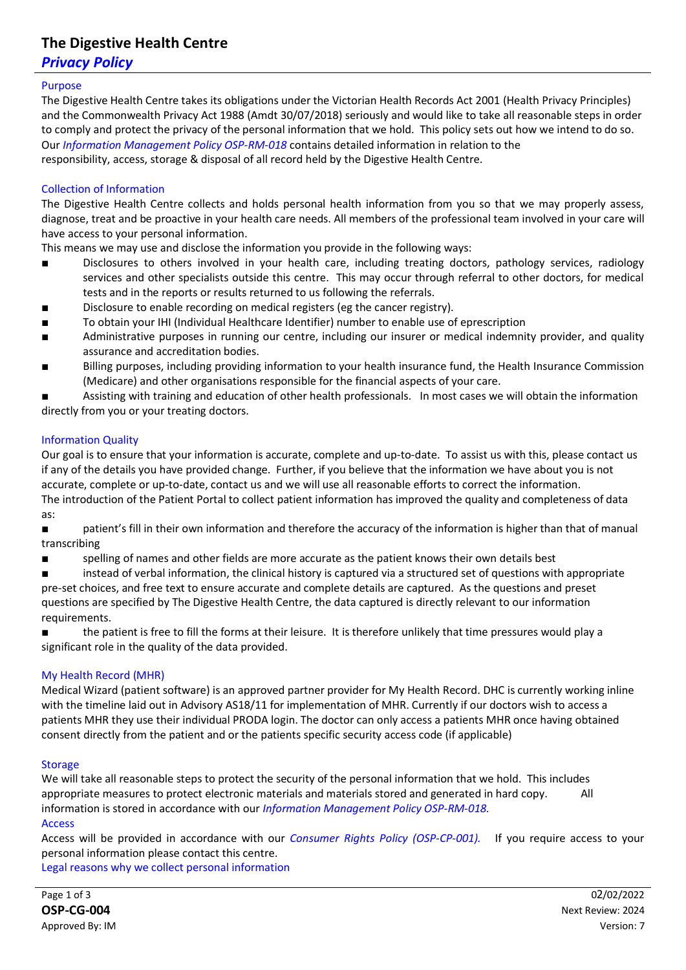## **The Digestive Health Centre**

### *Privacy Policy*

#### Purpose

The Digestive Health Centre takes its obligations under the Victorian Health Records Act 2001 (Health Privacy Principles) and the Commonwealth Privacy Act 1988 (Amdt 30/07/2018) seriously and would like to take all reasonable steps in order to comply and protect the privacy of the personal information that we hold. This policy sets out how we intend to do so. Our *Information Management Policy OSP-RM-018* contains detailed information in relation to the responsibility, access, storage & disposal of all record held by the Digestive Health Centre.

#### Collection of Information

The Digestive Health Centre collects and holds personal health information from you so that we may properly assess, diagnose, treat and be proactive in your health care needs. All members of the professional team involved in your care will have access to your personal information.

This means we may use and disclose the information you provide in the following ways:

- Disclosures to others involved in your health care, including treating doctors, pathology services, radiology services and other specialists outside this centre. This may occur through referral to other doctors, for medical tests and in the reports or results returned to us following the referrals.
- Disclosure to enable recording on medical registers (eg the cancer registry).
- To obtain your IHI (Individual Healthcare Identifier) number to enable use of eprescription
- Administrative purposes in running our centre, including our insurer or medical indemnity provider, and quality assurance and accreditation bodies.
- Billing purposes, including providing information to your health insurance fund, the Health Insurance Commission (Medicare) and other organisations responsible for the financial aspects of your care.

Assisting with training and education of other health professionals. In most cases we will obtain the information directly from you or your treating doctors.

#### Information Quality

Our goal is to ensure that your information is accurate, complete and up-to-date. To assist us with this, please contact us if any of the details you have provided change. Further, if you believe that the information we have about you is not accurate, complete or up-to-date, contact us and we will use all reasonable efforts to correct the information. The introduction of the Patient Portal to collect patient information has improved the quality and completeness of data as:

■ patient's fill in their own information and therefore the accuracy of the information is higher than that of manual transcribing

- spelling of names and other fields are more accurate as the patient knows their own details best
- instead of verbal information, the clinical history is captured via a structured set of questions with appropriate

pre-set choices, and free text to ensure accurate and complete details are captured. As the questions and preset questions are specified by The Digestive Health Centre, the data captured is directly relevant to our information requirements.

the patient is free to fill the forms at their leisure. It is therefore unlikely that time pressures would play a significant role in the quality of the data provided.

#### My Health Record (MHR)

Medical Wizard (patient software) is an approved partner provider for My Health Record. DHC is currently working inline with the timeline laid out in Advisory AS18/11 for implementation of MHR. Currently if our doctors wish to access a patients MHR they use their individual PRODA login. The doctor can only access a patients MHR once having obtained consent directly from the patient and or the patients specific security access code (if applicable)

#### **Storage**

We will take all reasonable steps to protect the security of the personal information that we hold. This includes appropriate measures to protect electronic materials and materials stored and generated in hard copy. All information is stored in accordance with our *Information Management Policy OSP-RM-018.* Access

Access will be provided in accordance with our *Consumer Rights Policy (OSP-CP-001).* If you require access to your personal information please contact this centre.

Legal reasons why we collect personal information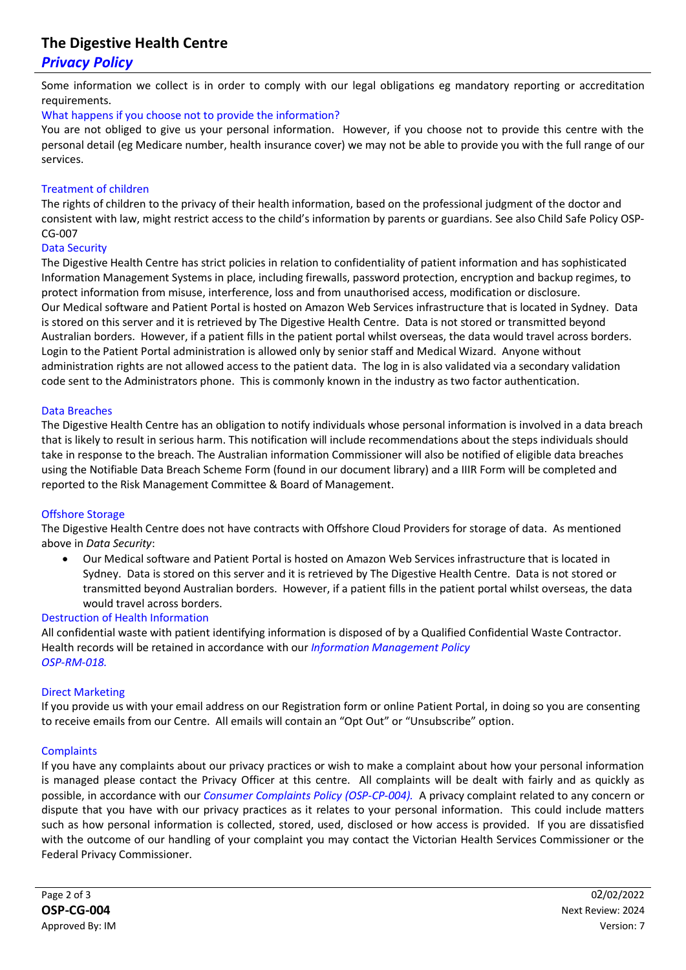## **The Digestive Health Centre**

## *Privacy Policy*

Some information we collect is in order to comply with our legal obligations eg mandatory reporting or accreditation requirements.

#### What happens if you choose not to provide the information?

You are not obliged to give us your personal information. However, if you choose not to provide this centre with the personal detail (eg Medicare number, health insurance cover) we may not be able to provide you with the full range of our services.

#### Treatment of children

The rights of children to the privacy of their health information, based on the professional judgment of the doctor and consistent with law, might restrict access to the child's information by parents or guardians. See also Child Safe Policy OSP-CG-007

#### Data Security

The Digestive Health Centre has strict policies in relation to confidentiality of patient information and has sophisticated Information Management Systems in place, including firewalls, password protection, encryption and backup regimes, to protect information from misuse, interference, loss and from unauthorised access, modification or disclosure. Our Medical software and Patient Portal is hosted on Amazon Web Services infrastructure that is located in Sydney. Data is stored on this server and it is retrieved by The Digestive Health Centre. Data is not stored or transmitted beyond Australian borders. However, if a patient fills in the patient portal whilst overseas, the data would travel across borders. Login to the Patient Portal administration is allowed only by senior staff and Medical Wizard. Anyone without administration rights are not allowed access to the patient data. The log in is also validated via a secondary validation code sent to the Administrators phone. This is commonly known in the industry as two factor authentication.

#### Data Breaches

The Digestive Health Centre has an obligation to notify individuals whose personal information is involved in a data breach that is likely to result in serious harm. This notification will include recommendations about the steps individuals should take in response to the breach. The Australian information Commissioner will also be notified of eligible data breaches using the Notifiable Data Breach Scheme Form (found in our document library) and a IIIR Form will be completed and reported to the Risk Management Committee & Board of Management.

#### Offshore Storage

The Digestive Health Centre does not have contracts with Offshore Cloud Providers for storage of data. As mentioned above in *Data Security*:

• Our Medical software and Patient Portal is hosted on Amazon Web Services infrastructure that is located in Sydney. Data is stored on this server and it is retrieved by The Digestive Health Centre. Data is not stored or transmitted beyond Australian borders. However, if a patient fills in the patient portal whilst overseas, the data would travel across borders.

#### Destruction of Health Information

All confidential waste with patient identifying information is disposed of by a Qualified Confidential Waste Contractor. Health records will be retained in accordance with our *Information Management Policy OSP-RM-018.*

#### Direct Marketing

If you provide us with your email address on our Registration form or online Patient Portal, in doing so you are consenting to receive emails from our Centre. All emails will contain an "Opt Out" or "Unsubscribe" option.

#### **Complaints**

If you have any complaints about our privacy practices or wish to make a complaint about how your personal information is managed please contact the Privacy Officer at this centre. All complaints will be dealt with fairly and as quickly as possible, in accordance with our *Consumer Complaints Policy (OSP-CP-004).* A privacy complaint related to any concern or dispute that you have with our privacy practices as it relates to your personal information. This could include matters such as how personal information is collected, stored, used, disclosed or how access is provided. If you are dissatisfied with the outcome of our handling of your complaint you may contact the Victorian Health Services Commissioner or the Federal Privacy Commissioner.